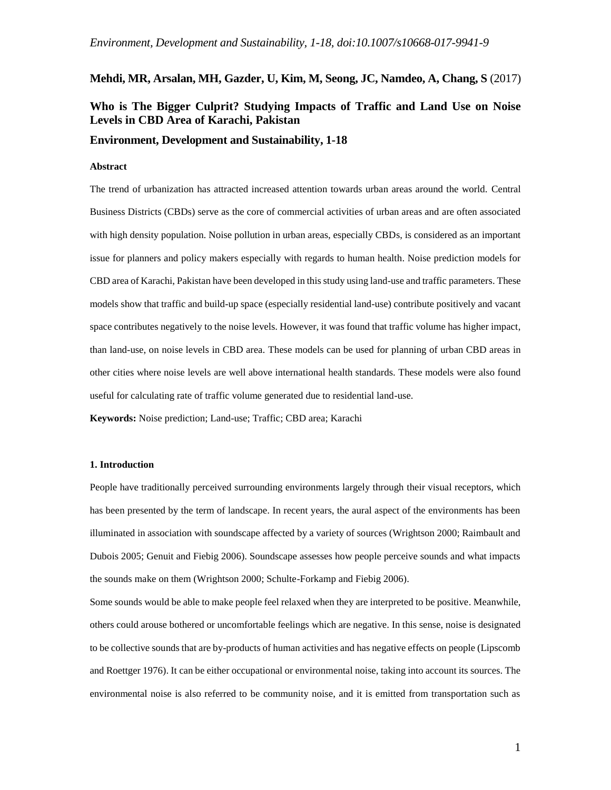### **Mehdi, MR, Arsalan, MH, Gazder, U, Kim, M, Seong, JC, Namdeo, A, Chang, S** (2017)

# **Who is The Bigger Culprit? Studying Impacts of Traffic and Land Use on Noise Levels in CBD Area of Karachi, Pakistan**

**Environment, Development and Sustainability, 1-18**

#### **Abstract**

The trend of urbanization has attracted increased attention towards urban areas around the world. Central Business Districts (CBDs) serve as the core of commercial activities of urban areas and are often associated with high density population. Noise pollution in urban areas, especially CBDs, is considered as an important issue for planners and policy makers especially with regards to human health. Noise prediction models for CBD area of Karachi, Pakistan have been developed in this study using land-use and traffic parameters. These models show that traffic and build-up space (especially residential land-use) contribute positively and vacant space contributes negatively to the noise levels. However, it was found that traffic volume has higher impact, than land-use, on noise levels in CBD area. These models can be used for planning of urban CBD areas in other cities where noise levels are well above international health standards. These models were also found useful for calculating rate of traffic volume generated due to residential land-use.

**Keywords:** Noise prediction; Land-use; Traffic; CBD area; Karachi

#### **1. Introduction**

People have traditionally perceived surrounding environments largely through their visual receptors, which has been presented by the term of landscape. In recent years, the aural aspect of the environments has been illuminated in association with soundscape affected by a variety of sources (Wrightson 2000; Raimbault and Dubois 2005; Genuit and Fiebig 2006). Soundscape assesses how people perceive sounds and what impacts the sounds make on them (Wrightson 2000; Schulte-Forkamp and Fiebig 2006).

Some sounds would be able to make people feel relaxed when they are interpreted to be positive. Meanwhile, others could arouse bothered or uncomfortable feelings which are negative. In this sense, noise is designated to be collective sounds that are by-products of human activities and has negative effects on people (Lipscomb and Roettger 1976). It can be either occupational or environmental noise, taking into account its sources. The environmental noise is also referred to be community noise, and it is emitted from transportation such as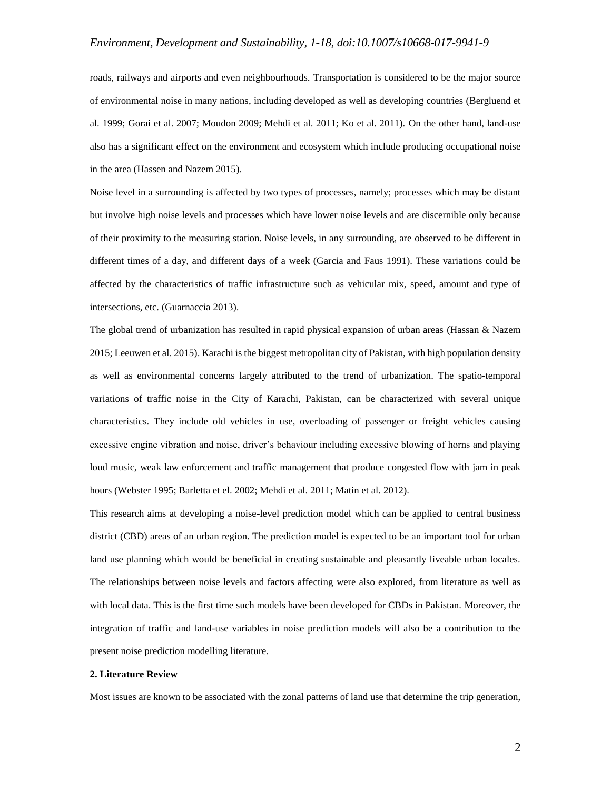roads, railways and airports and even neighbourhoods. Transportation is considered to be the major source of environmental noise in many nations, including developed as well as developing countries (Bergluend et al. 1999; Gorai et al. 2007; Moudon 2009; Mehdi et al. 2011; Ko et al. 2011). On the other hand, land-use also has a significant effect on the environment and ecosystem which include producing occupational noise in the area (Hassen and Nazem 2015).

Noise level in a surrounding is affected by two types of processes, namely; processes which may be distant but involve high noise levels and processes which have lower noise levels and are discernible only because of their proximity to the measuring station. Noise levels, in any surrounding, are observed to be different in different times of a day, and different days of a week (Garcia and Faus 1991). These variations could be affected by the characteristics of traffic infrastructure such as vehicular mix, speed, amount and type of intersections, etc. (Guarnaccia 2013).

The global trend of urbanization has resulted in rapid physical expansion of urban areas (Hassan & Nazem 2015; Leeuwen et al. 2015). Karachi is the biggest metropolitan city of Pakistan, with high population density as well as environmental concerns largely attributed to the trend of urbanization. The spatio-temporal variations of traffic noise in the City of Karachi, Pakistan, can be characterized with several unique characteristics. They include old vehicles in use, overloading of passenger or freight vehicles causing excessive engine vibration and noise, driver's behaviour including excessive blowing of horns and playing loud music, weak law enforcement and traffic management that produce congested flow with jam in peak hours (Webster 1995; Barletta et el. 2002; Mehdi et al. 2011; Matin et al. 2012).

This research aims at developing a noise-level prediction model which can be applied to central business district (CBD) areas of an urban region. The prediction model is expected to be an important tool for urban land use planning which would be beneficial in creating sustainable and pleasantly liveable urban locales. The relationships between noise levels and factors affecting were also explored, from literature as well as with local data. This is the first time such models have been developed for CBDs in Pakistan. Moreover, the integration of traffic and land-use variables in noise prediction models will also be a contribution to the present noise prediction modelling literature.

### **2. Literature Review**

Most issues are known to be associated with the zonal patterns of land use that determine the trip generation,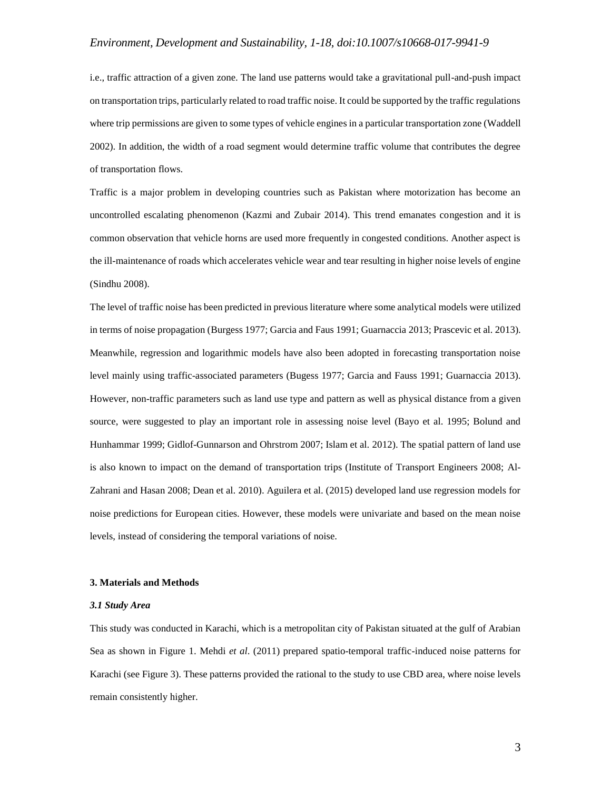i.e., traffic attraction of a given zone. The land use patterns would take a gravitational pull-and-push impact on transportation trips, particularly related to road traffic noise. It could be supported by the traffic regulations where trip permissions are given to some types of vehicle engines in a particular transportation zone (Waddell 2002). In addition, the width of a road segment would determine traffic volume that contributes the degree of transportation flows.

Traffic is a major problem in developing countries such as Pakistan where motorization has become an uncontrolled escalating phenomenon (Kazmi and Zubair 2014). This trend emanates congestion and it is common observation that vehicle horns are used more frequently in congested conditions. Another aspect is the ill-maintenance of roads which accelerates vehicle wear and tear resulting in higher noise levels of engine (Sindhu 2008).

The level of traffic noise has been predicted in previous literature where some analytical models were utilized in terms of noise propagation (Burgess 1977; Garcia and Faus 1991; Guarnaccia 2013; Prascevic et al. 2013). Meanwhile, regression and logarithmic models have also been adopted in forecasting transportation noise level mainly using traffic-associated parameters (Bugess 1977; Garcia and Fauss 1991; Guarnaccia 2013). However, non-traffic parameters such as land use type and pattern as well as physical distance from a given source, were suggested to play an important role in assessing noise level (Bayo et al. 1995; Bolund and Hunhammar 1999; Gidlof-Gunnarson and Ohrstrom 2007; Islam et al. 2012). The spatial pattern of land use is also known to impact on the demand of transportation trips (Institute of Transport Engineers 2008; Al-Zahrani and Hasan 2008; Dean et al. 2010). Aguilera et al. (2015) developed land use regression models for noise predictions for European cities. However, these models were univariate and based on the mean noise levels, instead of considering the temporal variations of noise.

### **3. Materials and Methods**

### *3.1 Study Area*

This study was conducted in Karachi, which is a metropolitan city of Pakistan situated at the gulf of Arabian Sea as shown in Figure 1. Mehdi *et al*. (2011) prepared spatio-temporal traffic-induced noise patterns for Karachi (see Figure 3). These patterns provided the rational to the study to use CBD area, where noise levels remain consistently higher.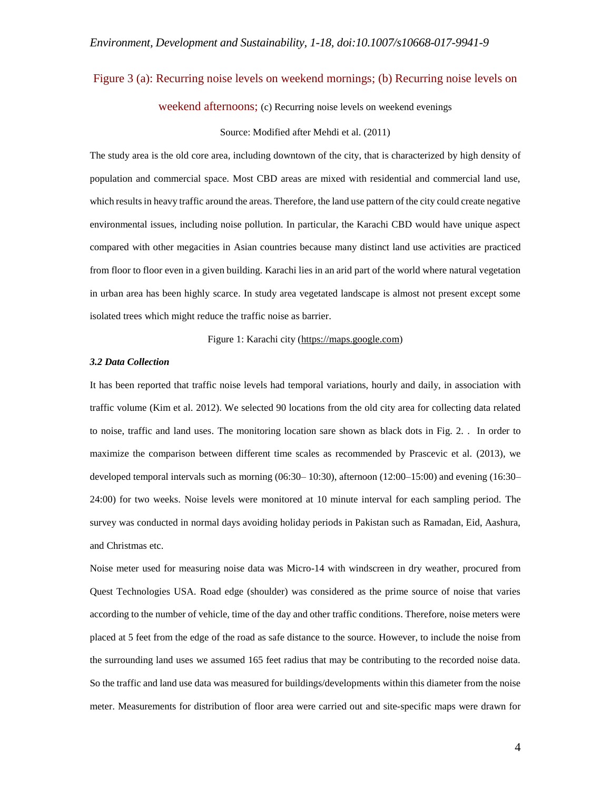### Figure 3 (a): Recurring noise levels on weekend mornings; (b) Recurring noise levels on

weekend afternoons; (c) Recurring noise levels on weekend evenings

Source: Modified after Mehdi et al. (2011)

The study area is the old core area, including downtown of the city, that is characterized by high density of population and commercial space. Most CBD areas are mixed with residential and commercial land use, which results in heavy traffic around the areas. Therefore, the land use pattern of the city could create negative environmental issues, including noise pollution. In particular, the Karachi CBD would have unique aspect compared with other megacities in Asian countries because many distinct land use activities are practiced from floor to floor even in a given building. Karachi lies in an arid part of the world where natural vegetation in urban area has been highly scarce. In study area vegetated landscape is almost not present except some isolated trees which might reduce the traffic noise as barrier.

Figure 1: Karachi city [\(https://maps.google.com\)](https://maps.google.com/)

### *3.2 Data Collection*

It has been reported that traffic noise levels had temporal variations, hourly and daily, in association with traffic volume (Kim et al. 2012). We selected 90 locations from the old city area for collecting data related to noise, traffic and land uses. The monitoring location sare shown as black dots in Fig. 2. . In order to maximize the comparison between different time scales as recommended by Prascevic et al. (2013), we developed temporal intervals such as morning (06:30– 10:30), afternoon (12:00–15:00) and evening (16:30– 24:00) for two weeks. Noise levels were monitored at 10 minute interval for each sampling period. The survey was conducted in normal days avoiding holiday periods in Pakistan such as Ramadan, Eid, Aashura, and Christmas etc.

Noise meter used for measuring noise data was Micro-14 with windscreen in dry weather, procured from Quest Technologies USA. Road edge (shoulder) was considered as the prime source of noise that varies according to the number of vehicle, time of the day and other traffic conditions. Therefore, noise meters were placed at 5 feet from the edge of the road as safe distance to the source. However, to include the noise from the surrounding land uses we assumed 165 feet radius that may be contributing to the recorded noise data. So the traffic and land use data was measured for buildings/developments within this diameter from the noise meter. Measurements for distribution of floor area were carried out and site-specific maps were drawn for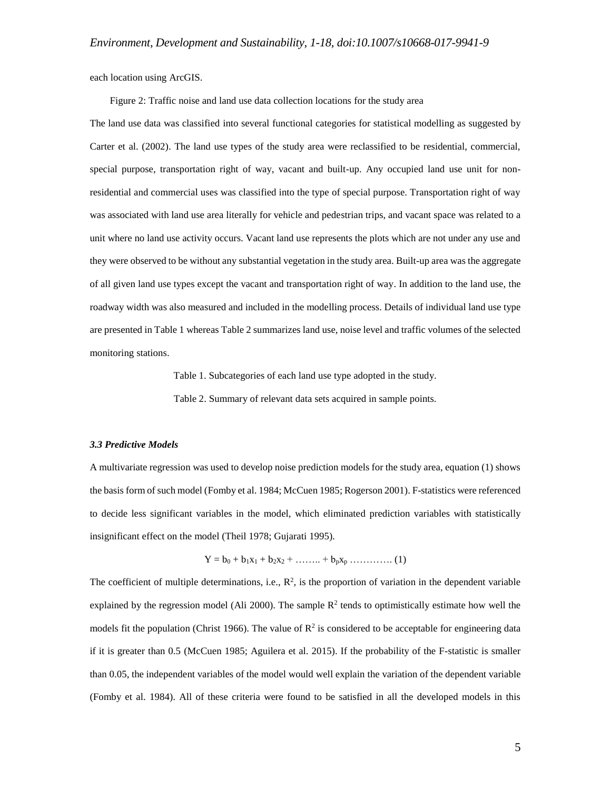each location using ArcGIS.

Figure 2: Traffic noise and land use data collection locations for the study area

The land use data was classified into several functional categories for statistical modelling as suggested by Carter et al. (2002). The land use types of the study area were reclassified to be residential, commercial, special purpose, transportation right of way, vacant and built-up. Any occupied land use unit for nonresidential and commercial uses was classified into the type of special purpose. Transportation right of way was associated with land use area literally for vehicle and pedestrian trips, and vacant space was related to a unit where no land use activity occurs. Vacant land use represents the plots which are not under any use and they were observed to be without any substantial vegetation in the study area. Built-up area was the aggregate of all given land use types except the vacant and transportation right of way. In addition to the land use, the roadway width was also measured and included in the modelling process. Details of individual land use type are presented in Table 1 whereas Table 2 summarizes land use, noise level and traffic volumes of the selected monitoring stations.

Table 1. Subcategories of each land use type adopted in the study.

Table 2. Summary of relevant data sets acquired in sample points.

#### *3.3 Predictive Models*

A multivariate regression was used to develop noise prediction models for the study area, equation (1) shows the basis form of such model (Fomby et al. 1984; McCuen 1985; Rogerson 2001). F-statistics were referenced to decide less significant variables in the model, which eliminated prediction variables with statistically insignificant effect on the model (Theil 1978; Gujarati 1995).

$$
Y = b_0 + b_1x_1 + b_2x_2 + \ldots + b_px_p \ldots \ldots \ldots \ldots (1)
$$

The coefficient of multiple determinations, i.e.,  $\mathbb{R}^2$ , is the proportion of variation in the dependent variable explained by the regression model (Ali 2000). The sample  $R^2$  tends to optimistically estimate how well the models fit the population (Christ 1966). The value of  $R^2$  is considered to be acceptable for engineering data if it is greater than 0.5 (McCuen 1985; Aguilera et al. 2015). If the probability of the F-statistic is smaller than 0.05, the independent variables of the model would well explain the variation of the dependent variable (Fomby et al. 1984). All of these criteria were found to be satisfied in all the developed models in this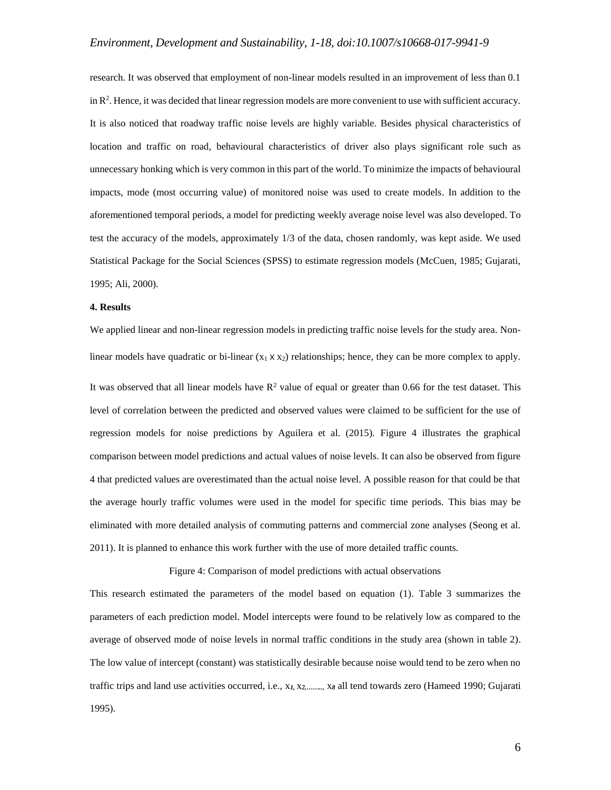research. It was observed that employment of non-linear models resulted in an improvement of less than 0.1 in  $\mathbb{R}^2$ . Hence, it was decided that linear regression models are more convenient to use with sufficient accuracy. It is also noticed that roadway traffic noise levels are highly variable. Besides physical characteristics of location and traffic on road, behavioural characteristics of driver also plays significant role such as unnecessary honking which is very common in this part of the world. To minimize the impacts of behavioural impacts, mode (most occurring value) of monitored noise was used to create models. In addition to the aforementioned temporal periods, a model for predicting weekly average noise level was also developed. To test the accuracy of the models, approximately 1/3 of the data, chosen randomly, was kept aside. We used Statistical Package for the Social Sciences (SPSS) to estimate regression models (McCuen, 1985; Gujarati, 1995; Ali, 2000).

#### **4. Results**

We applied linear and non-linear regression models in predicting traffic noise levels for the study area. Nonlinear models have quadratic or bi-linear  $(x_1 \times x_2)$  relationships; hence, they can be more complex to apply. It was observed that all linear models have  $R^2$  value of equal or greater than 0.66 for the test dataset. This level of correlation between the predicted and observed values were claimed to be sufficient for the use of regression models for noise predictions by Aguilera et al. (2015). Figure 4 illustrates the graphical comparison between model predictions and actual values of noise levels. It can also be observed from figure 4 that predicted values are overestimated than the actual noise level. A possible reason for that could be that the average hourly traffic volumes were used in the model for specific time periods. This bias may be eliminated with more detailed analysis of commuting patterns and commercial zone analyses (Seong et al. 2011). It is planned to enhance this work further with the use of more detailed traffic counts.

Figure 4: Comparison of model predictions with actual observations

This research estimated the parameters of the model based on equation (1). Table 3 summarizes the parameters of each prediction model. Model intercepts were found to be relatively low as compared to the average of observed mode of noise levels in normal traffic conditions in the study area (shown in table 2). The low value of intercept (constant) was statistically desirable because noise would tend to be zero when no traffic trips and land use activities occurred, i.e., x*1,* x*2,……..,* x*<sup>8</sup>* all tend towards zero (Hameed 1990; Gujarati 1995).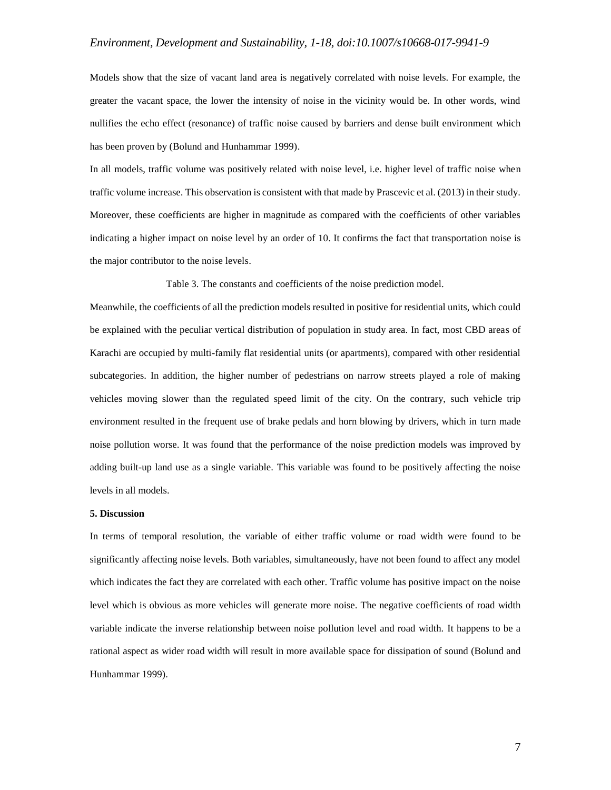Models show that the size of vacant land area is negatively correlated with noise levels. For example, the greater the vacant space, the lower the intensity of noise in the vicinity would be. In other words, wind nullifies the echo effect (resonance) of traffic noise caused by barriers and dense built environment which has been proven by (Bolund and Hunhammar 1999).

In all models, traffic volume was positively related with noise level, i.e. higher level of traffic noise when traffic volume increase. This observation is consistent with that made by Prascevic et al. (2013) in their study. Moreover, these coefficients are higher in magnitude as compared with the coefficients of other variables indicating a higher impact on noise level by an order of 10. It confirms the fact that transportation noise is the major contributor to the noise levels.

Table 3. The constants and coefficients of the noise prediction model.

Meanwhile, the coefficients of all the prediction models resulted in positive for residential units, which could be explained with the peculiar vertical distribution of population in study area. In fact, most CBD areas of Karachi are occupied by multi-family flat residential units (or apartments), compared with other residential subcategories. In addition, the higher number of pedestrians on narrow streets played a role of making vehicles moving slower than the regulated speed limit of the city. On the contrary, such vehicle trip environment resulted in the frequent use of brake pedals and horn blowing by drivers, which in turn made noise pollution worse. It was found that the performance of the noise prediction models was improved by adding built-up land use as a single variable. This variable was found to be positively affecting the noise levels in all models.

### **5. Discussion**

In terms of temporal resolution, the variable of either traffic volume or road width were found to be significantly affecting noise levels. Both variables, simultaneously, have not been found to affect any model which indicates the fact they are correlated with each other. Traffic volume has positive impact on the noise level which is obvious as more vehicles will generate more noise. The negative coefficients of road width variable indicate the inverse relationship between noise pollution level and road width. It happens to be a rational aspect as wider road width will result in more available space for dissipation of sound (Bolund and Hunhammar 1999).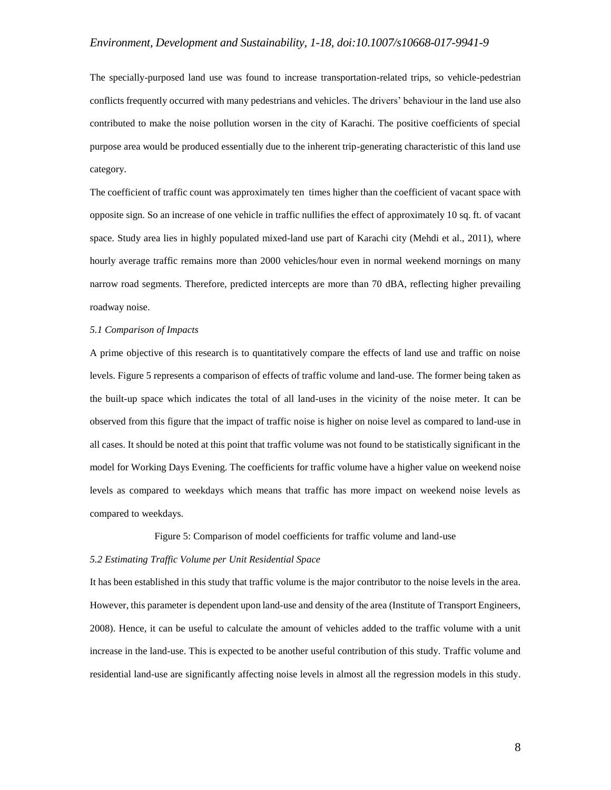The specially-purposed land use was found to increase transportation-related trips, so vehicle-pedestrian conflicts frequently occurred with many pedestrians and vehicles. The drivers' behaviour in the land use also contributed to make the noise pollution worsen in the city of Karachi. The positive coefficients of special purpose area would be produced essentially due to the inherent trip-generating characteristic of this land use category.

The coefficient of traffic count was approximately ten times higher than the coefficient of vacant space with opposite sign. So an increase of one vehicle in traffic nullifies the effect of approximately 10 sq. ft. of vacant space. Study area lies in highly populated mixed-land use part of Karachi city (Mehdi et al., 2011), where hourly average traffic remains more than 2000 vehicles/hour even in normal weekend mornings on many narrow road segments. Therefore, predicted intercepts are more than 70 dBA, reflecting higher prevailing roadway noise.

### *5.1 Comparison of Impacts*

A prime objective of this research is to quantitatively compare the effects of land use and traffic on noise levels. Figure 5 represents a comparison of effects of traffic volume and land-use. The former being taken as the built-up space which indicates the total of all land-uses in the vicinity of the noise meter. It can be observed from this figure that the impact of traffic noise is higher on noise level as compared to land-use in all cases. It should be noted at this point that traffic volume was not found to be statistically significant in the model for Working Days Evening. The coefficients for traffic volume have a higher value on weekend noise levels as compared to weekdays which means that traffic has more impact on weekend noise levels as compared to weekdays.

Figure 5: Comparison of model coefficients for traffic volume and land-use

### *5.2 Estimating Traffic Volume per Unit Residential Space*

It has been established in this study that traffic volume is the major contributor to the noise levels in the area. However, this parameter is dependent upon land-use and density of the area (Institute of Transport Engineers, 2008). Hence, it can be useful to calculate the amount of vehicles added to the traffic volume with a unit increase in the land-use. This is expected to be another useful contribution of this study. Traffic volume and residential land-use are significantly affecting noise levels in almost all the regression models in this study.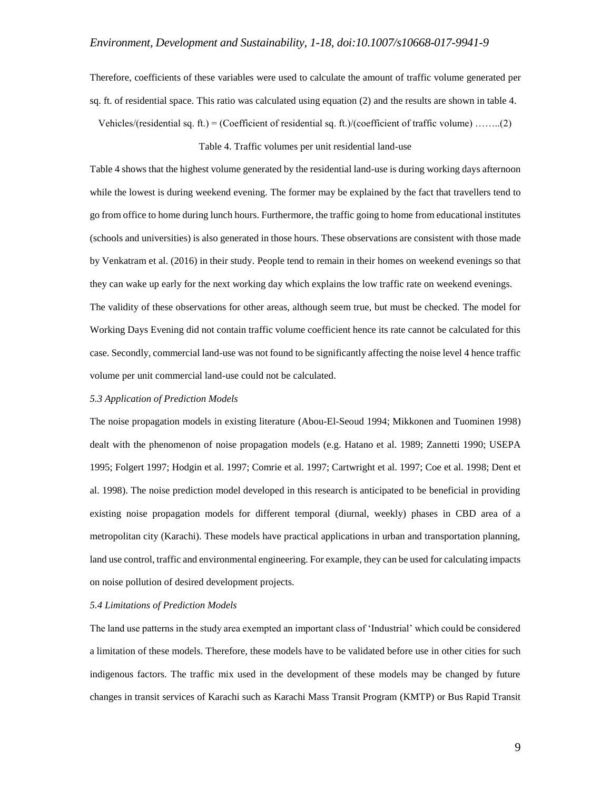Therefore, coefficients of these variables were used to calculate the amount of traffic volume generated per sq. ft. of residential space. This ratio was calculated using equation (2) and the results are shown in table 4.

Vehicles/(residential sq. ft.) = (Coefficient of residential sq. ft.)/(coefficient of traffic volume) .......(2)

#### Table 4. Traffic volumes per unit residential land-use

Table 4 shows that the highest volume generated by the residential land-use is during working days afternoon while the lowest is during weekend evening. The former may be explained by the fact that travellers tend to go from office to home during lunch hours. Furthermore, the traffic going to home from educational institutes (schools and universities) is also generated in those hours. These observations are consistent with those made by Venkatram et al. (2016) in their study. People tend to remain in their homes on weekend evenings so that they can wake up early for the next working day which explains the low traffic rate on weekend evenings. The validity of these observations for other areas, although seem true, but must be checked. The model for Working Days Evening did not contain traffic volume coefficient hence its rate cannot be calculated for this case. Secondly, commercial land-use was not found to be significantly affecting the noise level 4 hence traffic volume per unit commercial land-use could not be calculated.

#### *5.3 Application of Prediction Models*

The noise propagation models in existing literature (Abou-El-Seoud 1994; Mikkonen and Tuominen 1998) dealt with the phenomenon of noise propagation models (e.g. Hatano et al. 1989; Zannetti 1990; USEPA 1995; Folgert 1997; Hodgin et al. 1997; Comrie et al. 1997; Cartwright et al. 1997; Coe et al. 1998; Dent et al. 1998). The noise prediction model developed in this research is anticipated to be beneficial in providing existing noise propagation models for different temporal (diurnal, weekly) phases in CBD area of a metropolitan city (Karachi). These models have practical applications in urban and transportation planning, land use control, traffic and environmental engineering. For example, they can be used for calculating impacts on noise pollution of desired development projects.

#### *5.4 Limitations of Prediction Models*

The land use patterns in the study area exempted an important class of 'Industrial' which could be considered a limitation of these models. Therefore, these models have to be validated before use in other cities for such indigenous factors. The traffic mix used in the development of these models may be changed by future changes in transit services of Karachi such as Karachi Mass Transit Program (KMTP) or Bus Rapid Transit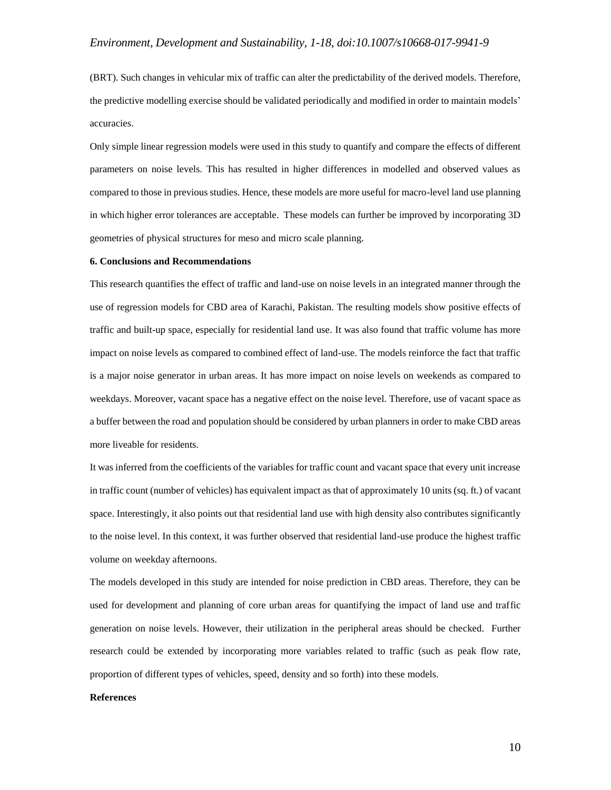(BRT). Such changes in vehicular mix of traffic can alter the predictability of the derived models. Therefore, the predictive modelling exercise should be validated periodically and modified in order to maintain models' accuracies.

Only simple linear regression models were used in this study to quantify and compare the effects of different parameters on noise levels. This has resulted in higher differences in modelled and observed values as compared to those in previous studies. Hence, these models are more useful for macro-level land use planning in which higher error tolerances are acceptable. These models can further be improved by incorporating 3D geometries of physical structures for meso and micro scale planning.

#### **6. Conclusions and Recommendations**

This research quantifies the effect of traffic and land-use on noise levels in an integrated manner through the use of regression models for CBD area of Karachi, Pakistan. The resulting models show positive effects of traffic and built-up space, especially for residential land use. It was also found that traffic volume has more impact on noise levels as compared to combined effect of land-use. The models reinforce the fact that traffic is a major noise generator in urban areas. It has more impact on noise levels on weekends as compared to weekdays. Moreover, vacant space has a negative effect on the noise level. Therefore, use of vacant space as a buffer between the road and population should be considered by urban planners in order to make CBD areas more liveable for residents.

It was inferred from the coefficients of the variables for traffic count and vacant space that every unit increase in traffic count (number of vehicles) has equivalent impact as that of approximately 10 units (sq. ft.) of vacant space. Interestingly, it also points out that residential land use with high density also contributes significantly to the noise level. In this context, it was further observed that residential land-use produce the highest traffic volume on weekday afternoons.

The models developed in this study are intended for noise prediction in CBD areas. Therefore, they can be used for development and planning of core urban areas for quantifying the impact of land use and traffic generation on noise levels. However, their utilization in the peripheral areas should be checked. Further research could be extended by incorporating more variables related to traffic (such as peak flow rate, proportion of different types of vehicles, speed, density and so forth) into these models.

### **References**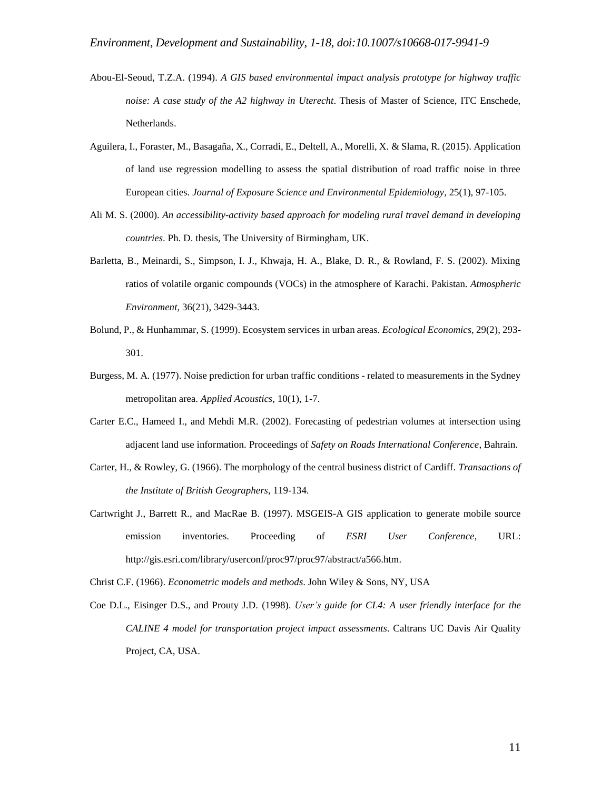- Abou-El-Seoud, T.Z.A. (1994). *A GIS based environmental impact analysis prototype for highway traffic noise: A case study of the A2 highway in Uterecht*. Thesis of Master of Science, ITC Enschede, Netherlands.
- Aguilera, I., Foraster, M., Basagaña, X., Corradi, E., Deltell, A., Morelli, X. & Slama, R. (2015). Application of land use regression modelling to assess the spatial distribution of road traffic noise in three European cities. *Journal of Exposure Science and Environmental Epidemiology*, 25(1), 97-105.
- Ali M. S. (2000). *An accessibility-activity based approach for modeling rural travel demand in developing countries*. Ph. D. thesis, The University of Birmingham, UK.
- Barletta, B., Meinardi, S., Simpson, I. J., Khwaja, H. A., Blake, D. R., & Rowland, F. S. (2002). Mixing ratios of volatile organic compounds (VOCs) in the atmosphere of Karachi. Pakistan. *Atmospheric Environment*, 36(21), 3429-3443.
- Bolund, P., & Hunhammar, S. (1999). Ecosystem services in urban areas. *Ecological Economics*, 29(2), 293- 301.
- Burgess, M. A. (1977). Noise prediction for urban traffic conditions related to measurements in the Sydney metropolitan area. *Applied Acoustics*, 10(1), 1-7.
- Carter E.C., Hameed I., and Mehdi M.R. (2002). Forecasting of pedestrian volumes at intersection using adjacent land use information. Proceedings of *Safety on Roads International Conference*, Bahrain.
- Carter, H., & Rowley, G. (1966). The morphology of the central business district of Cardiff. *Transactions of the Institute of British Geographers*, 119-134.
- Cartwright J., Barrett R., and MacRae B. (1997). MSGEIS-A GIS application to generate mobile source emission inventories. Proceeding of *ESRI User Conference*, URL: http://gis.esri.com/library/userconf/proc97/proc97/abstract/a566.htm.

Christ C.F. (1966). *Econometric models and methods*. John Wiley & Sons, NY, USA

Coe D.L., Eisinger D.S., and Prouty J.D. (1998). *User's guide for CL4: A user friendly interface for the CALINE 4 model for transportation project impact assessments*. Caltrans UC Davis Air Quality Project, CA, USA.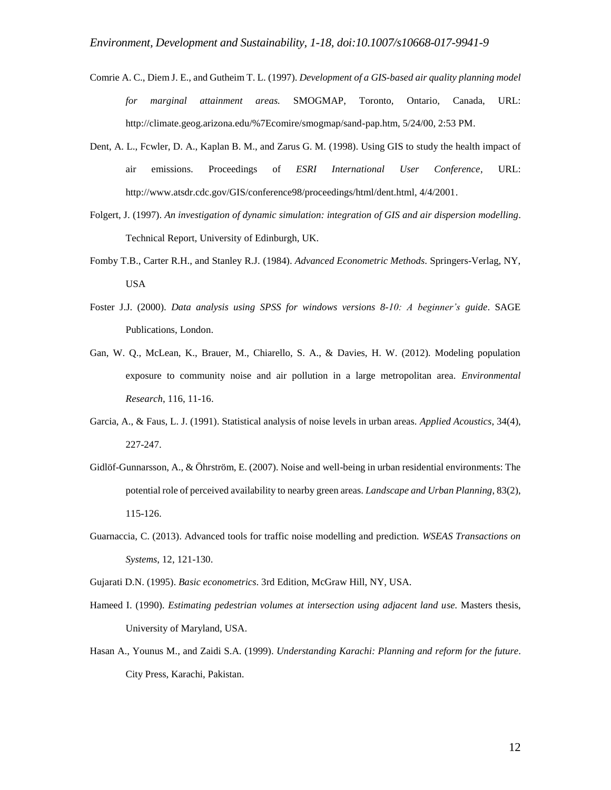- Comrie A. C., Diem J. E., and Gutheim T. L. (1997). *Development of a GIS-based air quality planning model for marginal attainment areas.* SMOGMAP, Toronto, Ontario, Canada, URL: http://climate.geog.arizona.edu/%7Ecomire/smogmap/sand-pap.htm, 5/24/00, 2:53 PM.
- Dent, A. L., Fcwler, D. A., Kaplan B. M., and Zarus G. M. (1998). Using GIS to study the health impact of air emissions. Proceedings of *ESRI International User Conference*, URL: http://www.atsdr.cdc.gov/GIS/conference98/proceedings/html/dent.html, 4/4/2001.
- Folgert, J. (1997). *An investigation of dynamic simulation: integration of GIS and air dispersion modelling*. Technical Report, University of Edinburgh, UK.
- Fomby T.B., Carter R.H., and Stanley R.J. (1984). *Advanced Econometric Methods*. Springers-Verlag, NY, USA
- Foster J.J. (2000). *Data analysis using SPSS for windows versions 8-10: A beginner's guide*. SAGE Publications, London.
- Gan, W. Q., McLean, K., Brauer, M., Chiarello, S. A., & Davies, H. W. (2012). Modeling population exposure to community noise and air pollution in a large metropolitan area. *Environmental Research*, 116, 11-16.
- Garcia, A., & Faus, L. J. (1991). Statistical analysis of noise levels in urban areas. *Applied Acoustics*, 34(4), 227-247.
- Gidlöf-Gunnarsson, A., & Öhrström, E. (2007). Noise and well-being in urban residential environments: The potential role of perceived availability to nearby green areas. *Landscape and Urban Planning*, 83(2), 115-126.
- Guarnaccia, C. (2013). Advanced tools for traffic noise modelling and prediction. *WSEAS Transactions on Systems*, 12, 121-130.

Gujarati D.N. (1995). *Basic econometrics*. 3rd Edition, McGraw Hill, NY, USA.

- Hameed I. (1990). *Estimating pedestrian volumes at intersection using adjacent land use.* Masters thesis, University of Maryland, USA.
- Hasan A., Younus M., and Zaidi S.A. (1999). *Understanding Karachi: Planning and reform for the future*. City Press, Karachi, Pakistan.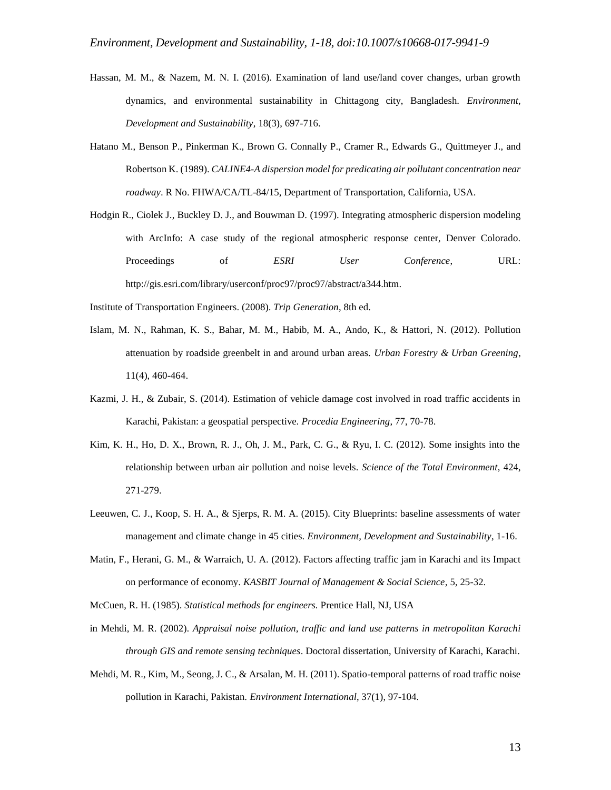- Hassan, M. M., & Nazem, M. N. I. (2016). Examination of land use/land cover changes, urban growth dynamics, and environmental sustainability in Chittagong city, Bangladesh. *Environment, Development and Sustainability*, 18(3), 697-716.
- Hatano M., Benson P., Pinkerman K., Brown G. Connally P., Cramer R., Edwards G., Quittmeyer J., and Robertson K. (1989). *CALINE4-A dispersion model for predicating air pollutant concentration near roadway*. R No. FHWA/CA/TL-84/15, Department of Transportation, California, USA.
- Hodgin R., Ciolek J., Buckley D. J., and Bouwman D. (1997). Integrating atmospheric dispersion modeling with ArcInfo: A case study of the regional atmospheric response center, Denver Colorado. Proceedings of *ESRI User Conference*, URL: http://gis.esri.com/library/userconf/proc97/proc97/abstract/a344.htm.

Institute of Transportation Engineers. (2008). *Trip Generation*, 8th ed.

- Islam, M. N., Rahman, K. S., Bahar, M. M., Habib, M. A., Ando, K., & Hattori, N. (2012). Pollution attenuation by roadside greenbelt in and around urban areas. *Urban Forestry & Urban Greening*, 11(4), 460-464.
- Kazmi, J. H., & Zubair, S. (2014). Estimation of vehicle damage cost involved in road traffic accidents in Karachi, Pakistan: a geospatial perspective. *Procedia Engineering*, 77, 70-78.
- Kim, K. H., Ho, D. X., Brown, R. J., Oh, J. M., Park, C. G., & Ryu, I. C. (2012). Some insights into the relationship between urban air pollution and noise levels. *Science of the Total Environment*, 424, 271-279.
- Leeuwen, C. J., Koop, S. H. A., & Sjerps, R. M. A. (2015). City Blueprints: baseline assessments of water management and climate change in 45 cities. *Environment, Development and Sustainability*, 1-16.
- Matin, F., Herani, G. M., & Warraich, U. A. (2012). Factors affecting traffic jam in Karachi and its Impact on performance of economy. *KASBIT Journal of Management & Social Science*, 5, 25-32.
- McCuen, R. H. (1985). *Statistical methods for engineers.* Prentice Hall, NJ, USA
- in Mehdi, M. R. (2002). *Appraisal noise pollution, traffic and land use patterns in metropolitan Karachi through GIS and remote sensing techniques*. Doctoral dissertation, University of Karachi, Karachi.
- Mehdi, M. R., Kim, M., Seong, J. C., & Arsalan, M. H. (2011). Spatio-temporal patterns of road traffic noise pollution in Karachi, Pakistan. *Environment International*, 37(1), 97-104.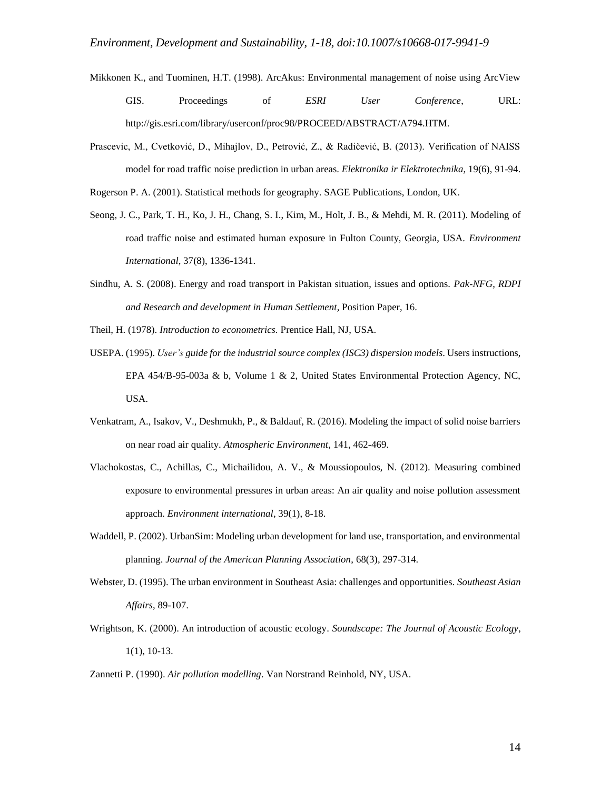- Mikkonen K., and Tuominen, H.T. (1998). ArcAkus: Environmental management of noise using ArcView GIS. Proceedings of *ESRI User Conference*, URL: http://gis.esri.com/library/userconf/proc98/PROCEED/ABSTRACT/A794.HTM.
- Prascevic, M., Cvetković, D., Mihajlov, D., Petrović, Z., & Radičević, B. (2013). Verification of NAISS model for road traffic noise prediction in urban areas. *Elektronika ir Elektrotechnika*, 19(6), 91-94.
- Rogerson P. A. (2001). Statistical methods for geography. SAGE Publications, London, UK.
- Seong, J. C., Park, T. H., Ko, J. H., Chang, S. I., Kim, M., Holt, J. B., & Mehdi, M. R. (2011). Modeling of road traffic noise and estimated human exposure in Fulton County, Georgia, USA. *Environment International*, 37(8), 1336-1341.
- Sindhu, A. S. (2008). Energy and road transport in Pakistan situation, issues and options. *Pak-NFG, RDPI and Research and development in Human Settlement,* Position Paper, 16.
- Theil, H. (1978). *Introduction to econometrics.* Prentice Hall, NJ, USA.
- USEPA. (1995). *User's guide for the industrial source complex (ISC3) dispersion models*. Users instructions, EPA 454/B-95-003a & b, Volume 1 & 2, United States Environmental Protection Agency, NC, USA.
- Venkatram, A., Isakov, V., Deshmukh, P., & Baldauf, R. (2016). Modeling the impact of solid noise barriers on near road air quality. *Atmospheric Environment*, 141, 462-469.
- Vlachokostas, C., Achillas, C., Michailidou, A. V., & Moussiopoulos, Ν. (2012). Measuring combined exposure to environmental pressures in urban areas: An air quality and noise pollution assessment approach. *Environment international*, 39(1), 8-18.
- Waddell, P. (2002). UrbanSim: Modeling urban development for land use, transportation, and environmental planning. *Journal of the American Planning Association*, 68(3), 297-314.
- Webster, D. (1995). The urban environment in Southeast Asia: challenges and opportunities. *Southeast Asian Affairs*, 89-107.
- Wrightson, K. (2000). An introduction of acoustic ecology. *Soundscape: The Journal of Acoustic Ecology*, 1(1), 10-13.
- Zannetti P. (1990). *Air pollution modelling*. Van Norstrand Reinhold, NY, USA.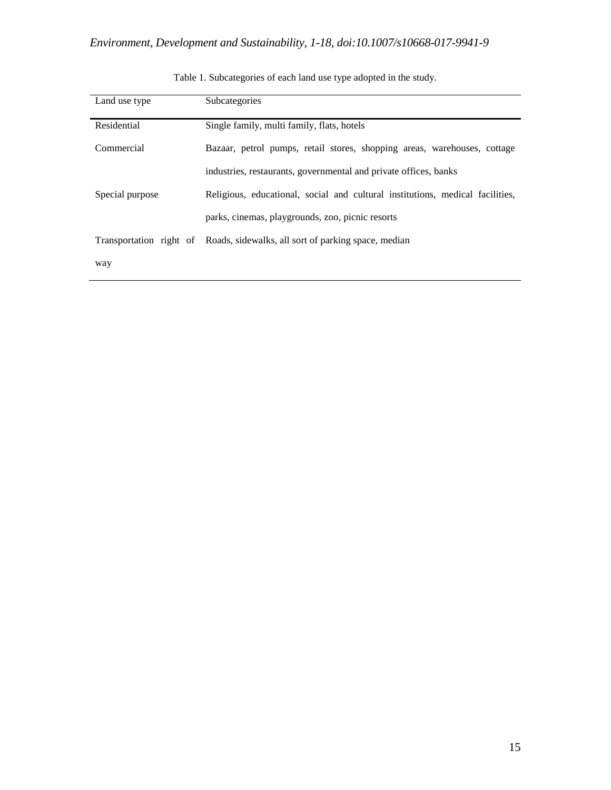| Land use type   | Subcategories                                                                 |  |  |
|-----------------|-------------------------------------------------------------------------------|--|--|
| Residential     | Single family, multi family, flats, hotels                                    |  |  |
| Commercial      | Bazaar, petrol pumps, retail stores, shopping areas, warehouses, cottage      |  |  |
|                 | industries, restaurants, governmental and private offices, banks              |  |  |
| Special purpose | Religious, educational, social and cultural institutions, medical facilities, |  |  |
|                 | parks, cinemas, playgrounds, zoo, picnic resorts                              |  |  |
|                 | Transportation right of Roads, sidewalks, all sort of parking space, median   |  |  |
| way             |                                                                               |  |  |

Table 1. Subcategories of each land use type adopted in the study.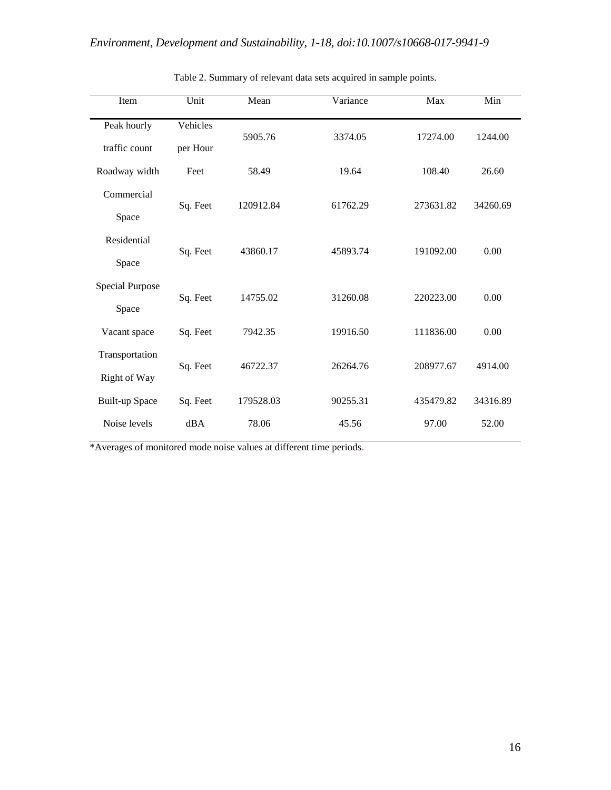| Item                   | Unit     | Mean      | Variance | Max       | Min      |  |
|------------------------|----------|-----------|----------|-----------|----------|--|
| Peak hourly            | Vehicles | 5905.76   | 3374.05  | 17274.00  | 1244.00  |  |
| traffic count          | per Hour |           |          |           |          |  |
| Roadway width          | Feet     | 58.49     | 19.64    | 108.40    | 26.60    |  |
| Commercial             | Sq. Feet | 120912.84 | 61762.29 | 273631.82 | 34260.69 |  |
| Space                  |          |           |          |           |          |  |
| Residential            | Sq. Feet | 43860.17  | 45893.74 | 191092.00 | 0.00     |  |
| Space                  |          |           |          |           |          |  |
| <b>Special Purpose</b> | Sq. Feet | 14755.02  | 31260.08 | 220223.00 | 0.00     |  |
| Space                  |          |           |          |           |          |  |
| Vacant space           | Sq. Feet | 7942.35   | 19916.50 | 111836.00 | 0.00     |  |
| Transportation         | Sq. Feet | 46722.37  | 26264.76 | 208977.67 | 4914.00  |  |
| Right of Way           |          |           |          |           |          |  |
| <b>Built-up Space</b>  | Sq. Feet | 179528.03 | 90255.31 | 435479.82 | 34316.89 |  |
| Noise levels           | dBA      | 78.06     | 45.56    | 97.00     | 52.00    |  |

Table 2. Summary of relevant data sets acquired in sample points.

\*Averages of monitored mode noise values at different time periods.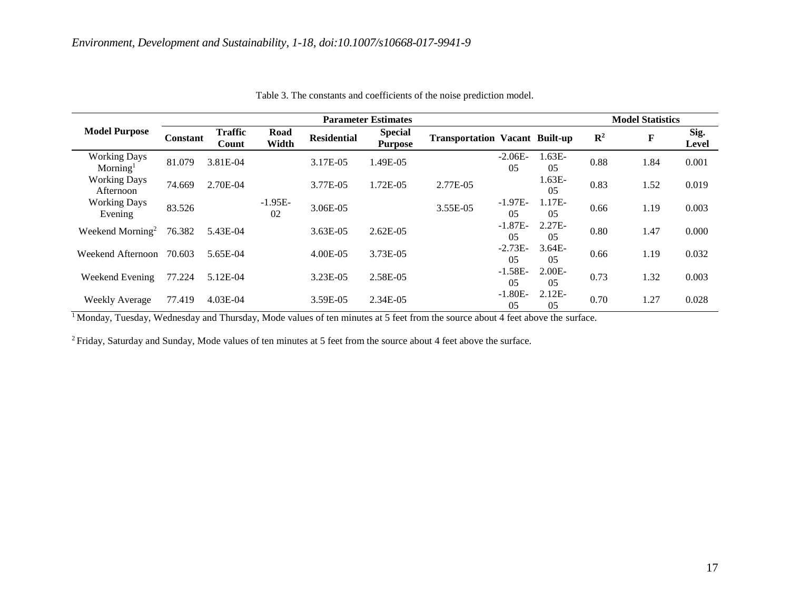|                                             |          |                         |                 |                    | <b>Parameter Estimates</b>       |                                       |                             |                |                | <b>Model Statistics</b> |                      |
|---------------------------------------------|----------|-------------------------|-----------------|--------------------|----------------------------------|---------------------------------------|-----------------------------|----------------|----------------|-------------------------|----------------------|
| <b>Model Purpose</b>                        | Constant | <b>Traffic</b><br>Count | Road<br>Width   | <b>Residential</b> | <b>Special</b><br><b>Purpose</b> | <b>Transportation Vacant Built-up</b> |                             |                | $\mathbf{R}^2$ | F                       | Sig.<br><b>Level</b> |
| <b>Working Days</b><br>Morming <sup>1</sup> | 81.079   | 3.81E-04                |                 | 3.17E-05           | 1.49E-05                         |                                       | $-2.06E-$<br>0 <sub>5</sub> | 1.63E-<br>05   | 0.88           | 1.84                    | 0.001                |
| <b>Working Days</b><br>Afternoon            | 74.669   | 2.70E-04                |                 | 3.77E-05           | 1.72E-05                         | 2.77E-05                              |                             | $1.63E-$<br>05 | 0.83           | 1.52                    | 0.019                |
| <b>Working Days</b><br>Evening              | 83.526   |                         | $-1.95E-$<br>02 | 3.06E-05           |                                  | 3.55E-05                              | $-1.97E-$<br>0 <sub>5</sub> | 1.17E-<br>05   | 0.66           | 1.19                    | 0.003                |
| Weekend Morning <sup>2</sup>                | 76.382   | 5.43E-04                |                 | $3.63E-05$         | $2.62E-05$                       |                                       | $-1.87E-$<br>05             | $2.27E-$<br>05 | 0.80           | 1.47                    | 0.000                |
| Weekend Afternoon                           | 70.603   | 5.65E-04                |                 | 4.00E-05           | 3.73E-05                         |                                       | $-2.73E-$<br>05             | $3.64E-$<br>05 | 0.66           | 1.19                    | 0.032                |
| Weekend Evening                             | 77.224   | 5.12E-04                |                 | 3.23E-05           | 2.58E-05                         |                                       | $-1.58E-$<br>05             | $2.00E-$<br>05 | 0.73           | 1.32                    | 0.003                |
| <b>Weekly Average</b>                       | 77.419   | 4.03E-04                |                 | 3.59E-05           | 2.34E-05                         |                                       | $-1.80E-$<br>05             | $2.12E-$<br>05 | 0.70           | 1.27                    | 0.028                |

Table 3. The constants and coefficients of the noise prediction model.

<sup>1</sup> Monday, Tuesday, Wednesday and Thursday, Mode values of ten minutes at 5 feet from the source about 4 feet above the surface.

<sup>2</sup> Friday, Saturday and Sunday, Mode values of ten minutes at 5 feet from the source about 4 feet above the surface.